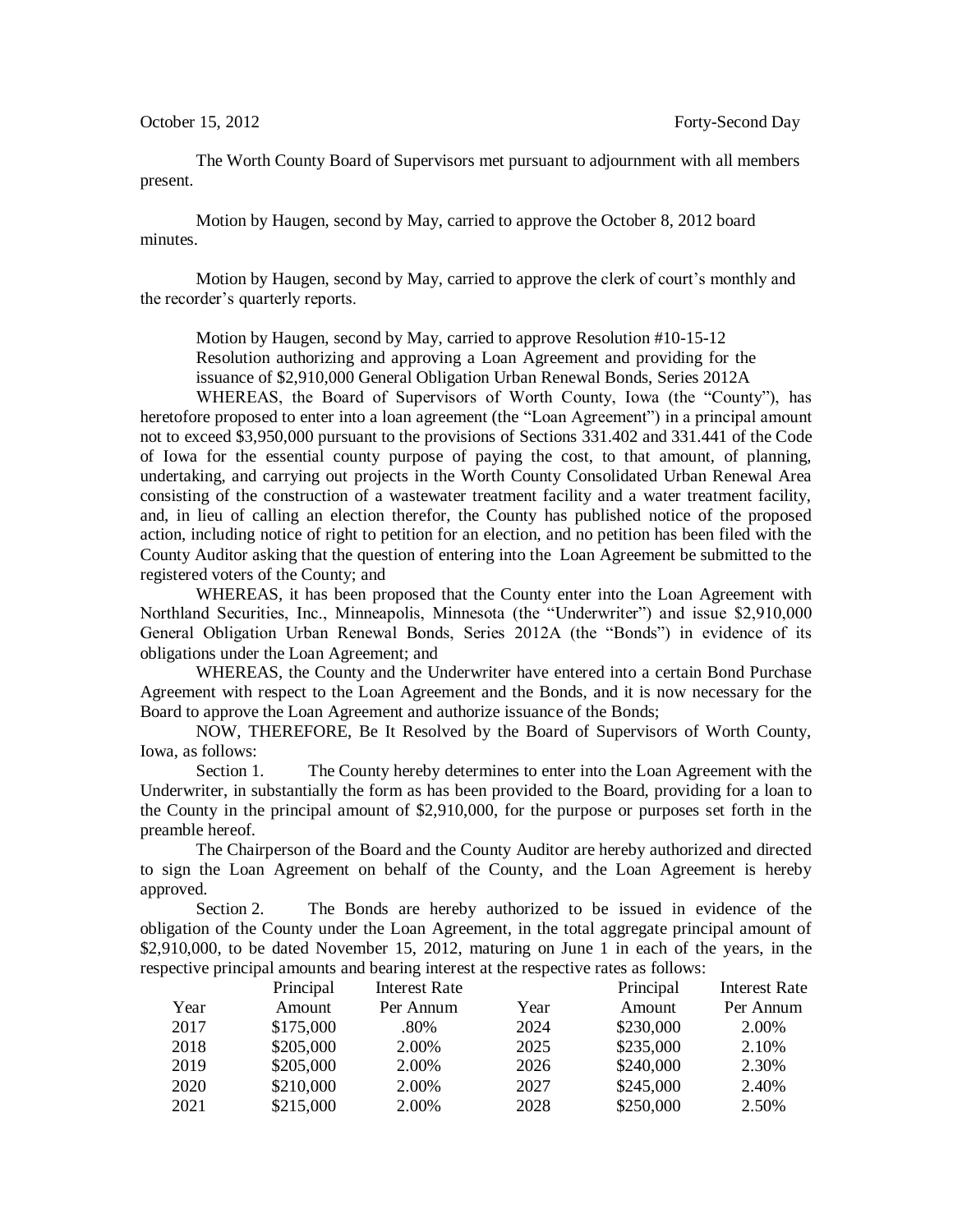The Worth County Board of Supervisors met pursuant to adjournment with all members present.

Motion by Haugen, second by May, carried to approve the October 8, 2012 board minutes.

Motion by Haugen, second by May, carried to approve the clerk of court's monthly and the recorder's quarterly reports.

Motion by Haugen, second by May, carried to approve Resolution #10-15-12 Resolution authorizing and approving a Loan Agreement and providing for the issuance of \$2,910,000 General Obligation Urban Renewal Bonds, Series 2012A

WHEREAS, the Board of Supervisors of Worth County, Iowa (the "County"), has heretofore proposed to enter into a loan agreement (the "Loan Agreement") in a principal amount not to exceed \$3,950,000 pursuant to the provisions of Sections 331.402 and 331.441 of the Code of Iowa for the essential county purpose of paying the cost, to that amount, of planning, undertaking, and carrying out projects in the Worth County Consolidated Urban Renewal Area consisting of the construction of a wastewater treatment facility and a water treatment facility, and, in lieu of calling an election therefor, the County has published notice of the proposed action, including notice of right to petition for an election, and no petition has been filed with the County Auditor asking that the question of entering into the Loan Agreement be submitted to the registered voters of the County; and

WHEREAS, it has been proposed that the County enter into the Loan Agreement with Northland Securities, Inc., Minneapolis, Minnesota (the "Underwriter") and issue \$2,910,000 General Obligation Urban Renewal Bonds, Series 2012A (the "Bonds") in evidence of its obligations under the Loan Agreement; and

WHEREAS, the County and the Underwriter have entered into a certain Bond Purchase Agreement with respect to the Loan Agreement and the Bonds, and it is now necessary for the Board to approve the Loan Agreement and authorize issuance of the Bonds;

NOW, THEREFORE, Be It Resolved by the Board of Supervisors of Worth County, Iowa, as follows:

Section 1. The County hereby determines to enter into the Loan Agreement with the Underwriter, in substantially the form as has been provided to the Board, providing for a loan to the County in the principal amount of \$2,910,000, for the purpose or purposes set forth in the preamble hereof.

The Chairperson of the Board and the County Auditor are hereby authorized and directed to sign the Loan Agreement on behalf of the County, and the Loan Agreement is hereby approved.

Section 2. The Bonds are hereby authorized to be issued in evidence of the obligation of the County under the Loan Agreement, in the total aggregate principal amount of \$2,910,000, to be dated November 15, 2012, maturing on June 1 in each of the years, in the respective principal amounts and bearing interest at the respective rates as follows:

|      | Principal | Interest Rate |      | Principal | Interest Rate |
|------|-----------|---------------|------|-----------|---------------|
| Year | Amount    | Per Annum     | Year | Amount    | Per Annum     |
| 2017 | \$175,000 | .80%          | 2024 | \$230,000 | 2.00%         |
| 2018 | \$205,000 | 2.00%         | 2025 | \$235,000 | 2.10%         |
| 2019 | \$205,000 | 2.00%         | 2026 | \$240,000 | 2.30%         |
| 2020 | \$210,000 | 2.00%         | 2027 | \$245,000 | 2.40%         |
| 2021 | \$215,000 | 2.00%         | 2028 | \$250,000 | 2.50%         |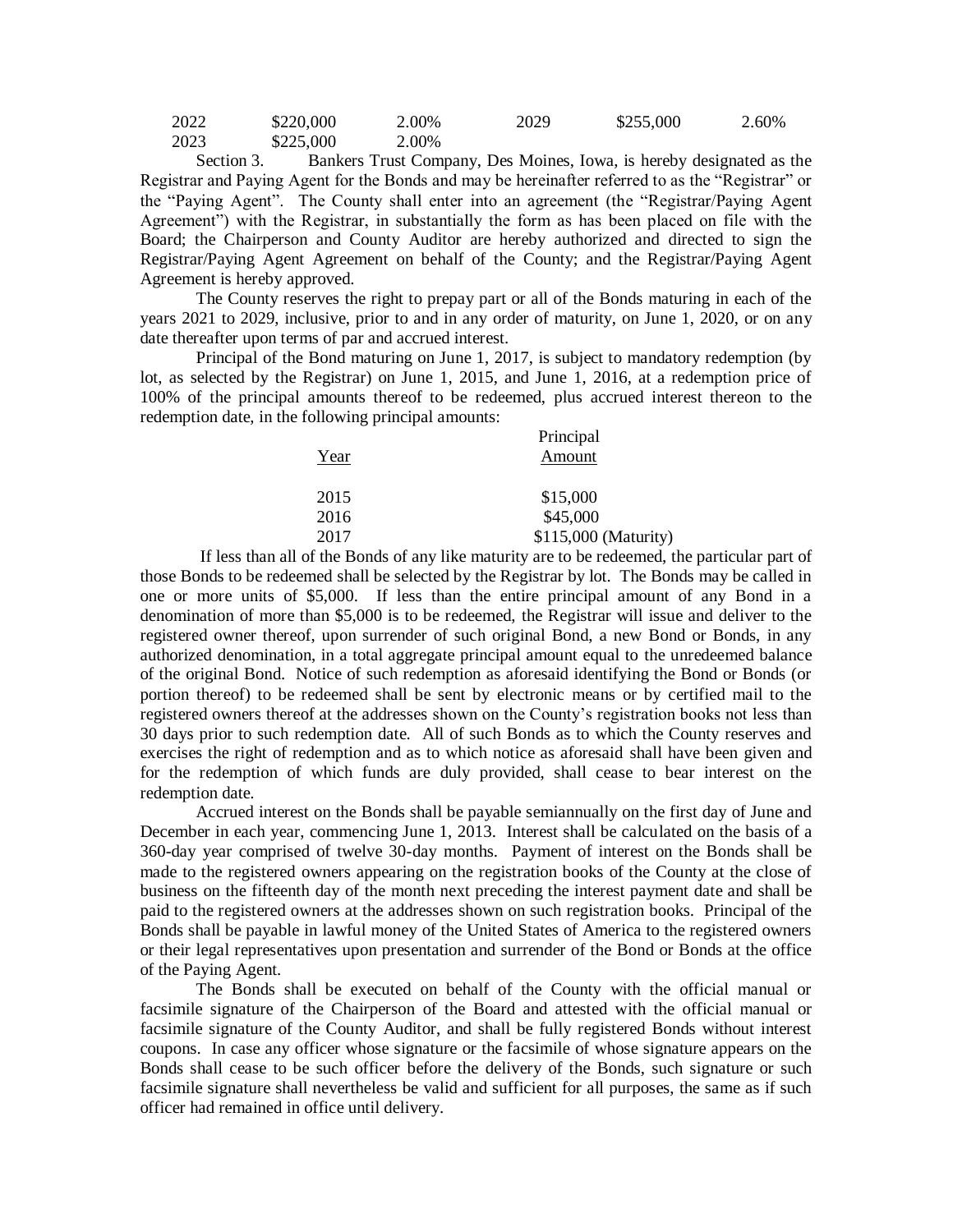| 2022 | \$220,000 | 2.00% | 2029 | \$255,000 | $2.60\%$ |
|------|-----------|-------|------|-----------|----------|
| 2023 | \$225,000 | 2.00% |      |           |          |

Section 3. Bankers Trust Company, Des Moines, Iowa, is hereby designated as the Registrar and Paying Agent for the Bonds and may be hereinafter referred to as the "Registrar" or the "Paying Agent". The County shall enter into an agreement (the "Registrar/Paying Agent Agreement") with the Registrar, in substantially the form as has been placed on file with the Board; the Chairperson and County Auditor are hereby authorized and directed to sign the Registrar/Paying Agent Agreement on behalf of the County; and the Registrar/Paying Agent Agreement is hereby approved.

The County reserves the right to prepay part or all of the Bonds maturing in each of the years 2021 to 2029, inclusive, prior to and in any order of maturity, on June 1, 2020, or on any date thereafter upon terms of par and accrued interest.

Principal of the Bond maturing on June 1, 2017, is subject to mandatory redemption (by lot, as selected by the Registrar) on June 1, 2015, and June 1, 2016, at a redemption price of 100% of the principal amounts thereof to be redeemed, plus accrued interest thereon to the redemption date, in the following principal amounts:

|      | Principal            |
|------|----------------------|
| Year | Amount               |
| 2015 | \$15,000             |
| 2016 | \$45,000             |
| 2017 | \$115,000 (Maturity) |

If less than all of the Bonds of any like maturity are to be redeemed, the particular part of those Bonds to be redeemed shall be selected by the Registrar by lot. The Bonds may be called in one or more units of \$5,000. If less than the entire principal amount of any Bond in a denomination of more than \$5,000 is to be redeemed, the Registrar will issue and deliver to the registered owner thereof, upon surrender of such original Bond, a new Bond or Bonds, in any authorized denomination, in a total aggregate principal amount equal to the unredeemed balance of the original Bond. Notice of such redemption as aforesaid identifying the Bond or Bonds (or portion thereof) to be redeemed shall be sent by electronic means or by certified mail to the registered owners thereof at the addresses shown on the County's registration books not less than 30 days prior to such redemption date. All of such Bonds as to which the County reserves and exercises the right of redemption and as to which notice as aforesaid shall have been given and for the redemption of which funds are duly provided, shall cease to bear interest on the redemption date.

Accrued interest on the Bonds shall be payable semiannually on the first day of June and December in each year, commencing June 1, 2013. Interest shall be calculated on the basis of a 360-day year comprised of twelve 30-day months. Payment of interest on the Bonds shall be made to the registered owners appearing on the registration books of the County at the close of business on the fifteenth day of the month next preceding the interest payment date and shall be paid to the registered owners at the addresses shown on such registration books. Principal of the Bonds shall be payable in lawful money of the United States of America to the registered owners or their legal representatives upon presentation and surrender of the Bond or Bonds at the office of the Paying Agent.

The Bonds shall be executed on behalf of the County with the official manual or facsimile signature of the Chairperson of the Board and attested with the official manual or facsimile signature of the County Auditor, and shall be fully registered Bonds without interest coupons. In case any officer whose signature or the facsimile of whose signature appears on the Bonds shall cease to be such officer before the delivery of the Bonds, such signature or such facsimile signature shall nevertheless be valid and sufficient for all purposes, the same as if such officer had remained in office until delivery.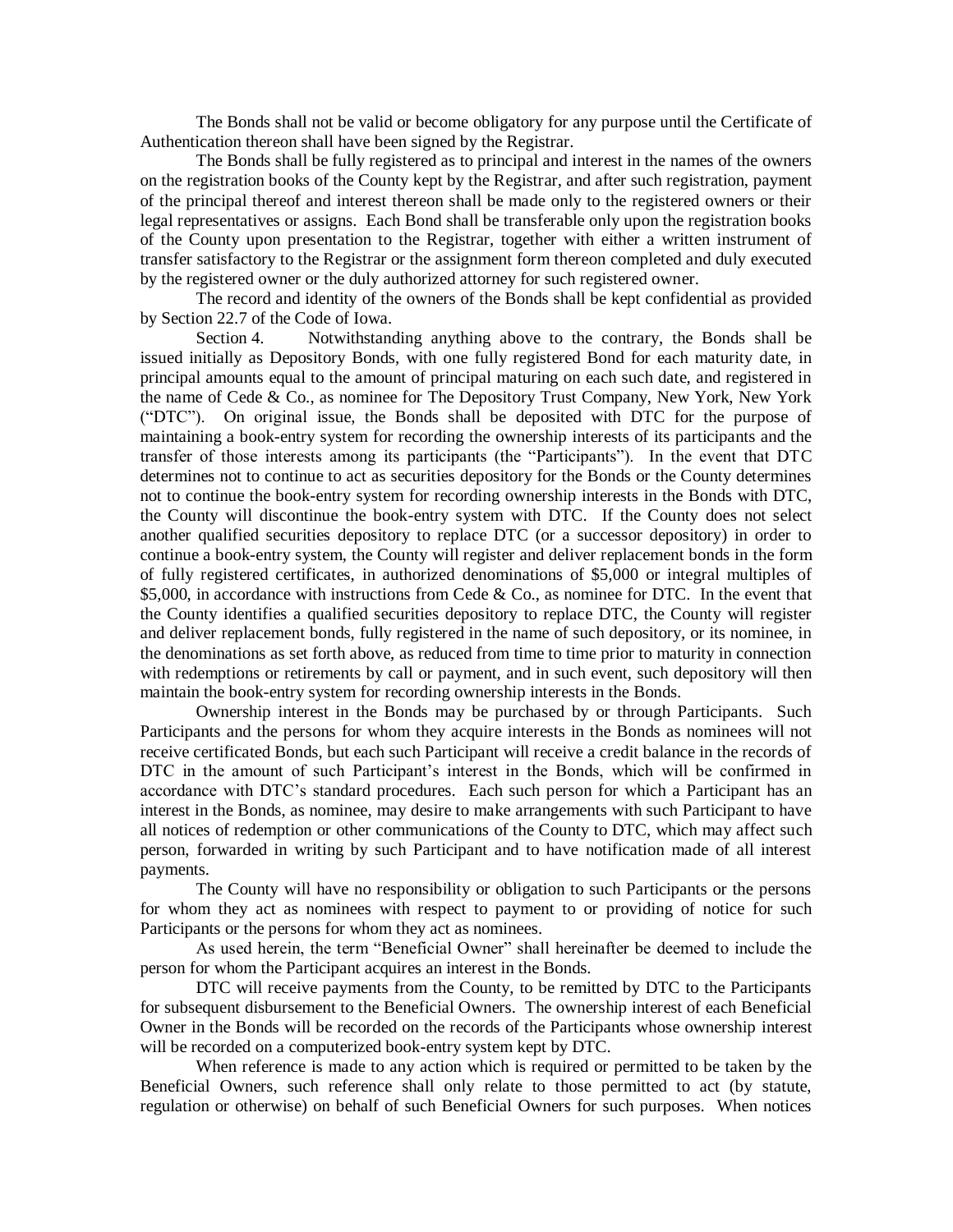The Bonds shall not be valid or become obligatory for any purpose until the Certificate of Authentication thereon shall have been signed by the Registrar.

The Bonds shall be fully registered as to principal and interest in the names of the owners on the registration books of the County kept by the Registrar, and after such registration, payment of the principal thereof and interest thereon shall be made only to the registered owners or their legal representatives or assigns. Each Bond shall be transferable only upon the registration books of the County upon presentation to the Registrar, together with either a written instrument of transfer satisfactory to the Registrar or the assignment form thereon completed and duly executed by the registered owner or the duly authorized attorney for such registered owner.

The record and identity of the owners of the Bonds shall be kept confidential as provided by Section 22.7 of the Code of Iowa.

Section 4. Notwithstanding anything above to the contrary, the Bonds shall be issued initially as Depository Bonds, with one fully registered Bond for each maturity date, in principal amounts equal to the amount of principal maturing on each such date, and registered in the name of Cede & Co., as nominee for The Depository Trust Company, New York, New York ("DTC"). On original issue, the Bonds shall be deposited with DTC for the purpose of maintaining a book-entry system for recording the ownership interests of its participants and the transfer of those interests among its participants (the "Participants"). In the event that DTC determines not to continue to act as securities depository for the Bonds or the County determines not to continue the book-entry system for recording ownership interests in the Bonds with DTC, the County will discontinue the book-entry system with DTC. If the County does not select another qualified securities depository to replace DTC (or a successor depository) in order to continue a book-entry system, the County will register and deliver replacement bonds in the form of fully registered certificates, in authorized denominations of \$5,000 or integral multiples of \$5,000, in accordance with instructions from Cede & Co., as nominee for DTC. In the event that the County identifies a qualified securities depository to replace DTC, the County will register and deliver replacement bonds, fully registered in the name of such depository, or its nominee, in the denominations as set forth above, as reduced from time to time prior to maturity in connection with redemptions or retirements by call or payment, and in such event, such depository will then maintain the book-entry system for recording ownership interests in the Bonds.

Ownership interest in the Bonds may be purchased by or through Participants. Such Participants and the persons for whom they acquire interests in the Bonds as nominees will not receive certificated Bonds, but each such Participant will receive a credit balance in the records of DTC in the amount of such Participant's interest in the Bonds, which will be confirmed in accordance with DTC's standard procedures. Each such person for which a Participant has an interest in the Bonds, as nominee, may desire to make arrangements with such Participant to have all notices of redemption or other communications of the County to DTC, which may affect such person, forwarded in writing by such Participant and to have notification made of all interest payments.

The County will have no responsibility or obligation to such Participants or the persons for whom they act as nominees with respect to payment to or providing of notice for such Participants or the persons for whom they act as nominees.

As used herein, the term "Beneficial Owner" shall hereinafter be deemed to include the person for whom the Participant acquires an interest in the Bonds.

DTC will receive payments from the County, to be remitted by DTC to the Participants for subsequent disbursement to the Beneficial Owners. The ownership interest of each Beneficial Owner in the Bonds will be recorded on the records of the Participants whose ownership interest will be recorded on a computerized book-entry system kept by DTC.

When reference is made to any action which is required or permitted to be taken by the Beneficial Owners, such reference shall only relate to those permitted to act (by statute, regulation or otherwise) on behalf of such Beneficial Owners for such purposes. When notices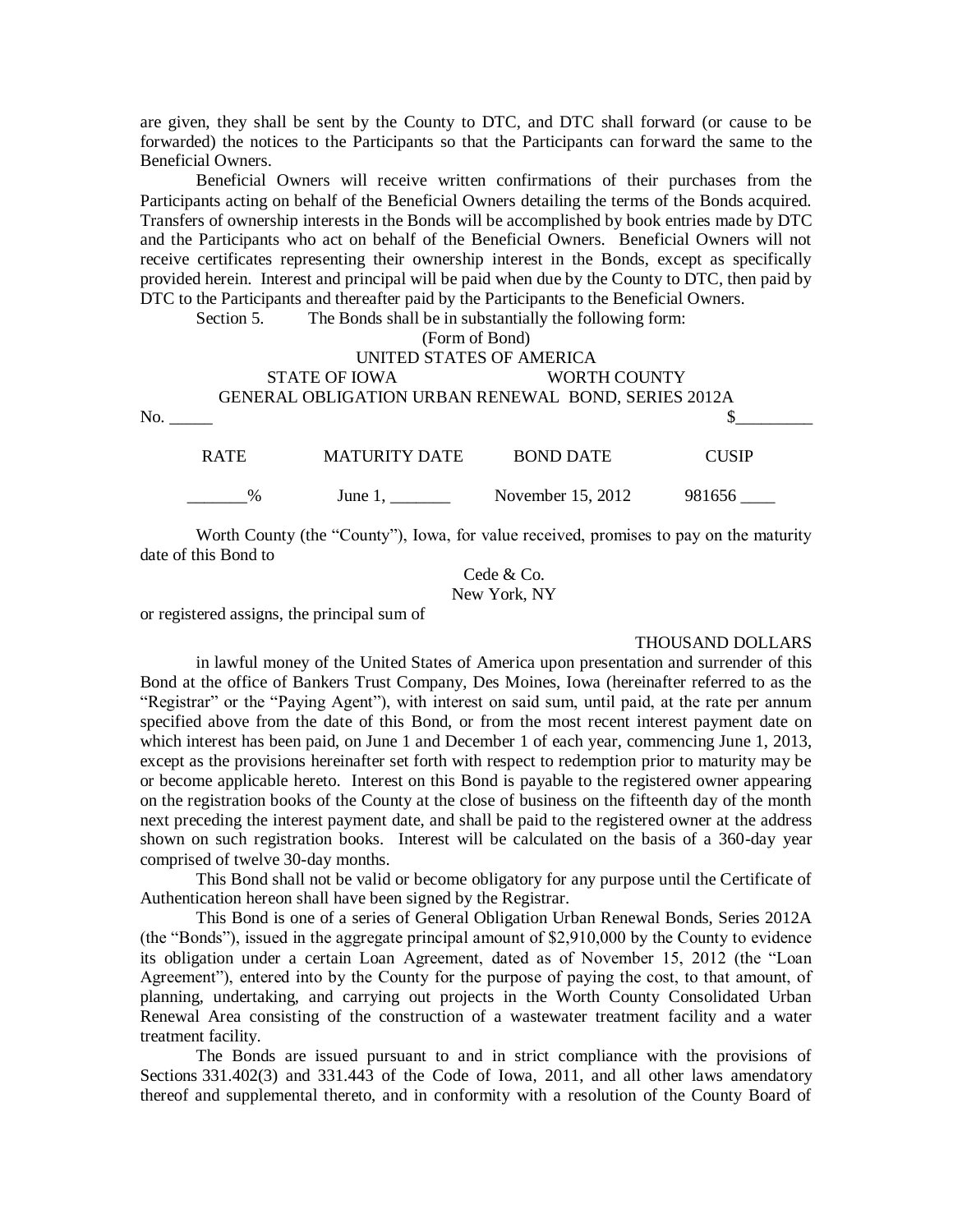are given, they shall be sent by the County to DTC, and DTC shall forward (or cause to be forwarded) the notices to the Participants so that the Participants can forward the same to the Beneficial Owners.

Beneficial Owners will receive written confirmations of their purchases from the Participants acting on behalf of the Beneficial Owners detailing the terms of the Bonds acquired. Transfers of ownership interests in the Bonds will be accomplished by book entries made by DTC and the Participants who act on behalf of the Beneficial Owners. Beneficial Owners will not receive certificates representing their ownership interest in the Bonds, except as specifically provided herein. Interest and principal will be paid when due by the County to DTC, then paid by DTC to the Participants and thereafter paid by the Participants to the Beneficial Owners.

Section 5. The Bonds shall be in substantially the following form:

(Form of Bond)

# UNITED STATES OF AMERICA STATE OF IOWA WORTH COUNTY GENERAL OBLIGATION URBAN RENEWAL BOND, SERIES 2012A  $\infty$ .

| R ATE | MATURITY DATE | <b>BOND DATE</b>  | <b>CUSIP</b> |
|-------|---------------|-------------------|--------------|
| $\%$  | June 1,       | November 15, 2012 | 981656       |

Worth County (the "County"), Iowa, for value received, promises to pay on the maturity date of this Bond to

> Cede & Co. New York, NY

or registered assigns, the principal sum of

#### THOUSAND DOLLARS

in lawful money of the United States of America upon presentation and surrender of this Bond at the office of Bankers Trust Company, Des Moines, Iowa (hereinafter referred to as the "Registrar" or the "Paying Agent"), with interest on said sum, until paid, at the rate per annum specified above from the date of this Bond, or from the most recent interest payment date on which interest has been paid, on June 1 and December 1 of each year, commencing June 1, 2013, except as the provisions hereinafter set forth with respect to redemption prior to maturity may be or become applicable hereto. Interest on this Bond is payable to the registered owner appearing on the registration books of the County at the close of business on the fifteenth day of the month next preceding the interest payment date, and shall be paid to the registered owner at the address shown on such registration books. Interest will be calculated on the basis of a 360-day year comprised of twelve 30-day months.

This Bond shall not be valid or become obligatory for any purpose until the Certificate of Authentication hereon shall have been signed by the Registrar.

This Bond is one of a series of General Obligation Urban Renewal Bonds, Series 2012A (the "Bonds"), issued in the aggregate principal amount of \$2,910,000 by the County to evidence its obligation under a certain Loan Agreement, dated as of November 15, 2012 (the "Loan Agreement"), entered into by the County for the purpose of paying the cost, to that amount, of planning, undertaking, and carrying out projects in the Worth County Consolidated Urban Renewal Area consisting of the construction of a wastewater treatment facility and a water treatment facility.

The Bonds are issued pursuant to and in strict compliance with the provisions of Sections 331.402(3) and 331.443 of the Code of Iowa, 2011, and all other laws amendatory thereof and supplemental thereto, and in conformity with a resolution of the County Board of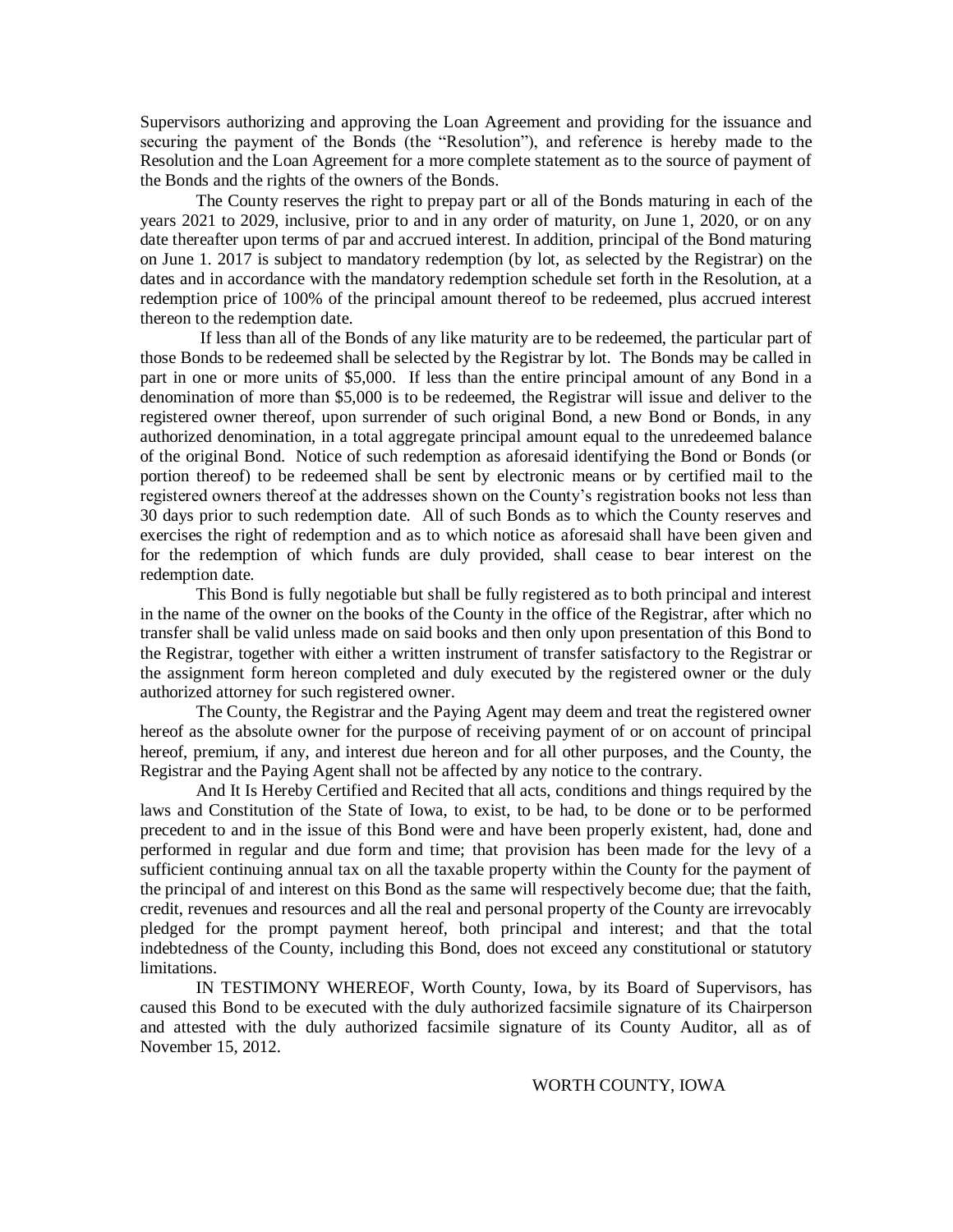Supervisors authorizing and approving the Loan Agreement and providing for the issuance and securing the payment of the Bonds (the "Resolution"), and reference is hereby made to the Resolution and the Loan Agreement for a more complete statement as to the source of payment of the Bonds and the rights of the owners of the Bonds.

The County reserves the right to prepay part or all of the Bonds maturing in each of the years 2021 to 2029, inclusive, prior to and in any order of maturity, on June 1, 2020, or on any date thereafter upon terms of par and accrued interest. In addition, principal of the Bond maturing on June 1. 2017 is subject to mandatory redemption (by lot, as selected by the Registrar) on the dates and in accordance with the mandatory redemption schedule set forth in the Resolution, at a redemption price of 100% of the principal amount thereof to be redeemed, plus accrued interest thereon to the redemption date.

If less than all of the Bonds of any like maturity are to be redeemed, the particular part of those Bonds to be redeemed shall be selected by the Registrar by lot. The Bonds may be called in part in one or more units of \$5,000. If less than the entire principal amount of any Bond in a denomination of more than \$5,000 is to be redeemed, the Registrar will issue and deliver to the registered owner thereof, upon surrender of such original Bond, a new Bond or Bonds, in any authorized denomination, in a total aggregate principal amount equal to the unredeemed balance of the original Bond. Notice of such redemption as aforesaid identifying the Bond or Bonds (or portion thereof) to be redeemed shall be sent by electronic means or by certified mail to the registered owners thereof at the addresses shown on the County's registration books not less than 30 days prior to such redemption date. All of such Bonds as to which the County reserves and exercises the right of redemption and as to which notice as aforesaid shall have been given and for the redemption of which funds are duly provided, shall cease to bear interest on the redemption date.

This Bond is fully negotiable but shall be fully registered as to both principal and interest in the name of the owner on the books of the County in the office of the Registrar, after which no transfer shall be valid unless made on said books and then only upon presentation of this Bond to the Registrar, together with either a written instrument of transfer satisfactory to the Registrar or the assignment form hereon completed and duly executed by the registered owner or the duly authorized attorney for such registered owner.

The County, the Registrar and the Paying Agent may deem and treat the registered owner hereof as the absolute owner for the purpose of receiving payment of or on account of principal hereof, premium, if any, and interest due hereon and for all other purposes, and the County, the Registrar and the Paying Agent shall not be affected by any notice to the contrary.

And It Is Hereby Certified and Recited that all acts, conditions and things required by the laws and Constitution of the State of Iowa, to exist, to be had, to be done or to be performed precedent to and in the issue of this Bond were and have been properly existent, had, done and performed in regular and due form and time; that provision has been made for the levy of a sufficient continuing annual tax on all the taxable property within the County for the payment of the principal of and interest on this Bond as the same will respectively become due; that the faith, credit, revenues and resources and all the real and personal property of the County are irrevocably pledged for the prompt payment hereof, both principal and interest; and that the total indebtedness of the County, including this Bond, does not exceed any constitutional or statutory limitations.

IN TESTIMONY WHEREOF, Worth County, Iowa, by its Board of Supervisors, has caused this Bond to be executed with the duly authorized facsimile signature of its Chairperson and attested with the duly authorized facsimile signature of its County Auditor, all as of November 15, 2012.

#### WORTH COUNTY, IOWA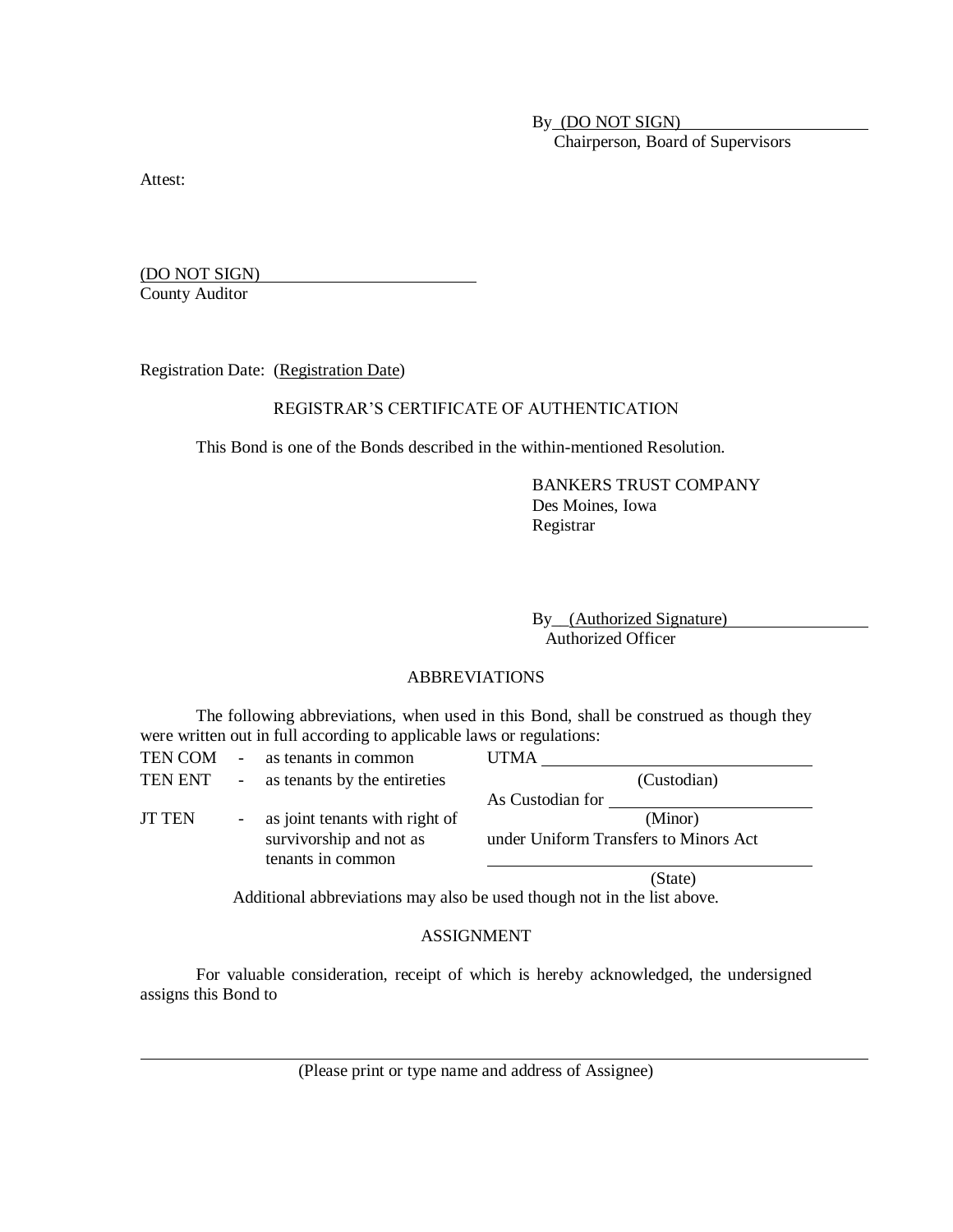By (DO NOT SIGN) Chairperson, Board of Supervisors

Attest:

(DO NOT SIGN) County Auditor

Registration Date: (Registration Date)

## REGISTRAR'S CERTIFICATE OF AUTHENTICATION

This Bond is one of the Bonds described in the within-mentioned Resolution.

BANKERS TRUST COMPANY Des Moines, Iowa Registrar

By\_\_(Authorized Signature) Authorized Officer

## ABBREVIATIONS

The following abbreviations, when used in this Bond, shall be construed as though they were written out in full according to applicable laws or regulations:

| TEN COM       | $\sim$                   | as tenants in common                         | <b>UTMA</b>      |                                       |
|---------------|--------------------------|----------------------------------------------|------------------|---------------------------------------|
| TEN ENT       | $\overline{\phantom{a}}$ | as tenants by the entireties                 |                  | (Custodian)                           |
|               |                          |                                              | As Custodian for |                                       |
| <b>JT TEN</b> | $\sim$                   | as joint tenants with right of               |                  | (Minor)                               |
|               |                          | survivorship and not as<br>tenants in common |                  | under Uniform Transfers to Minors Act |
|               |                          |                                              |                  | (State)                               |

Additional abbreviations may also be used though not in the list above.

#### ASSIGNMENT

For valuable consideration, receipt of which is hereby acknowledged, the undersigned assigns this Bond to

(Please print or type name and address of Assignee)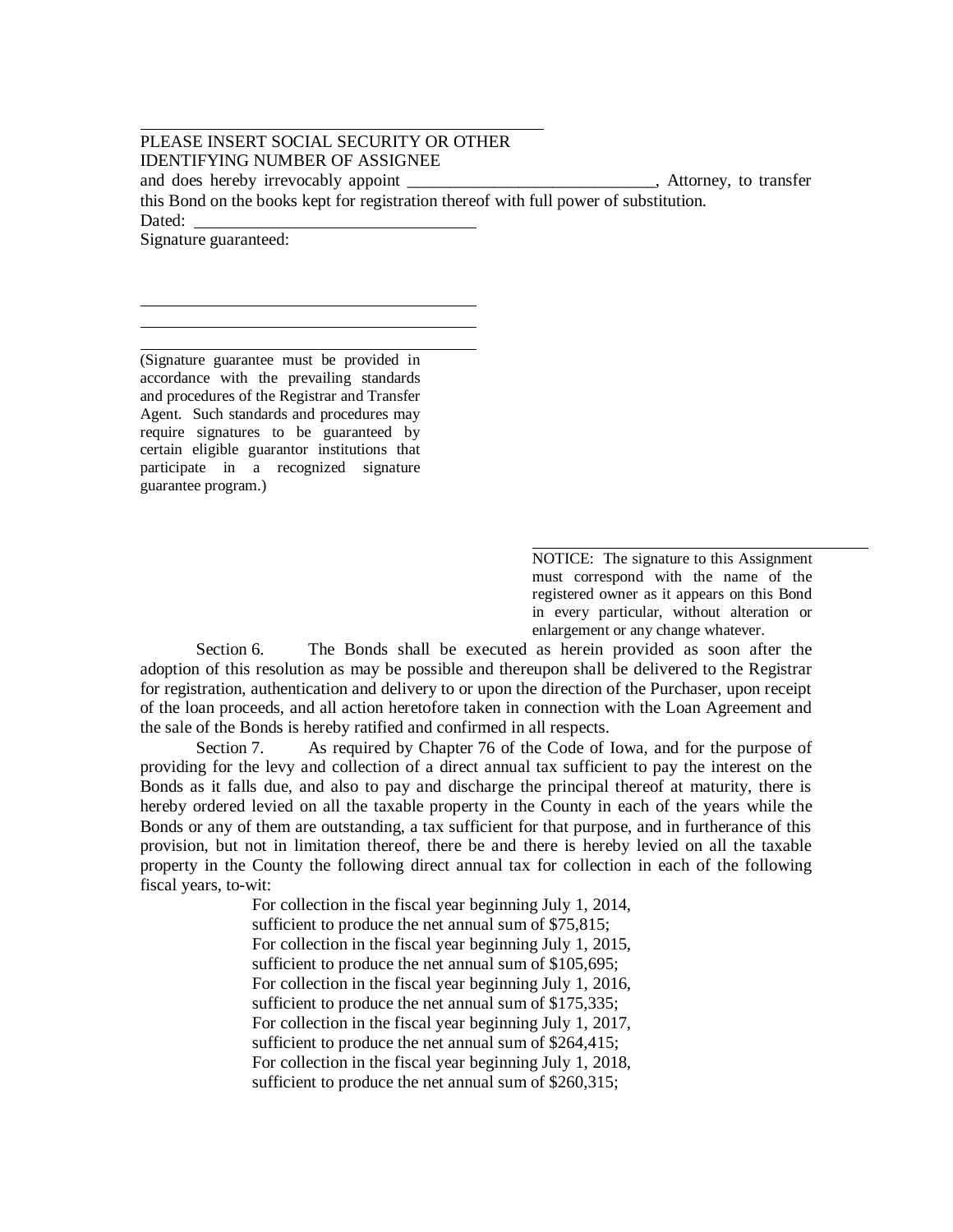PLEASE INSERT SOCIAL SECURITY OR OTHER IDENTIFYING NUMBER OF ASSIGNEE and does hereby irrevocably appoint \_\_\_\_\_\_\_\_\_\_\_\_\_\_\_\_\_\_\_\_\_\_\_, Attorney, to transfer this Bond on the books kept for registration thereof with full power of substitution. Dated: Signature guaranteed:

(Signature guarantee must be provided in accordance with the prevailing standards and procedures of the Registrar and Transfer Agent. Such standards and procedures may require signatures to be guaranteed by certain eligible guarantor institutions that participate in a recognized signature guarantee program.)

> NOTICE: The signature to this Assignment must correspond with the name of the registered owner as it appears on this Bond in every particular, without alteration or enlargement or any change whatever.

Section 6. The Bonds shall be executed as herein provided as soon after the adoption of this resolution as may be possible and thereupon shall be delivered to the Registrar for registration, authentication and delivery to or upon the direction of the Purchaser, upon receipt of the loan proceeds, and all action heretofore taken in connection with the Loan Agreement and the sale of the Bonds is hereby ratified and confirmed in all respects.

Section 7. As required by Chapter 76 of the Code of Iowa, and for the purpose of providing for the levy and collection of a direct annual tax sufficient to pay the interest on the Bonds as it falls due, and also to pay and discharge the principal thereof at maturity, there is hereby ordered levied on all the taxable property in the County in each of the years while the Bonds or any of them are outstanding, a tax sufficient for that purpose, and in furtherance of this provision, but not in limitation thereof, there be and there is hereby levied on all the taxable property in the County the following direct annual tax for collection in each of the following fiscal years, to-wit:

> For collection in the fiscal year beginning July 1, 2014, sufficient to produce the net annual sum of \$75,815; For collection in the fiscal year beginning July 1, 2015, sufficient to produce the net annual sum of \$105,695; For collection in the fiscal year beginning July 1, 2016, sufficient to produce the net annual sum of \$175,335; For collection in the fiscal year beginning July 1, 2017, sufficient to produce the net annual sum of \$264,415; For collection in the fiscal year beginning July 1, 2018, sufficient to produce the net annual sum of \$260,315;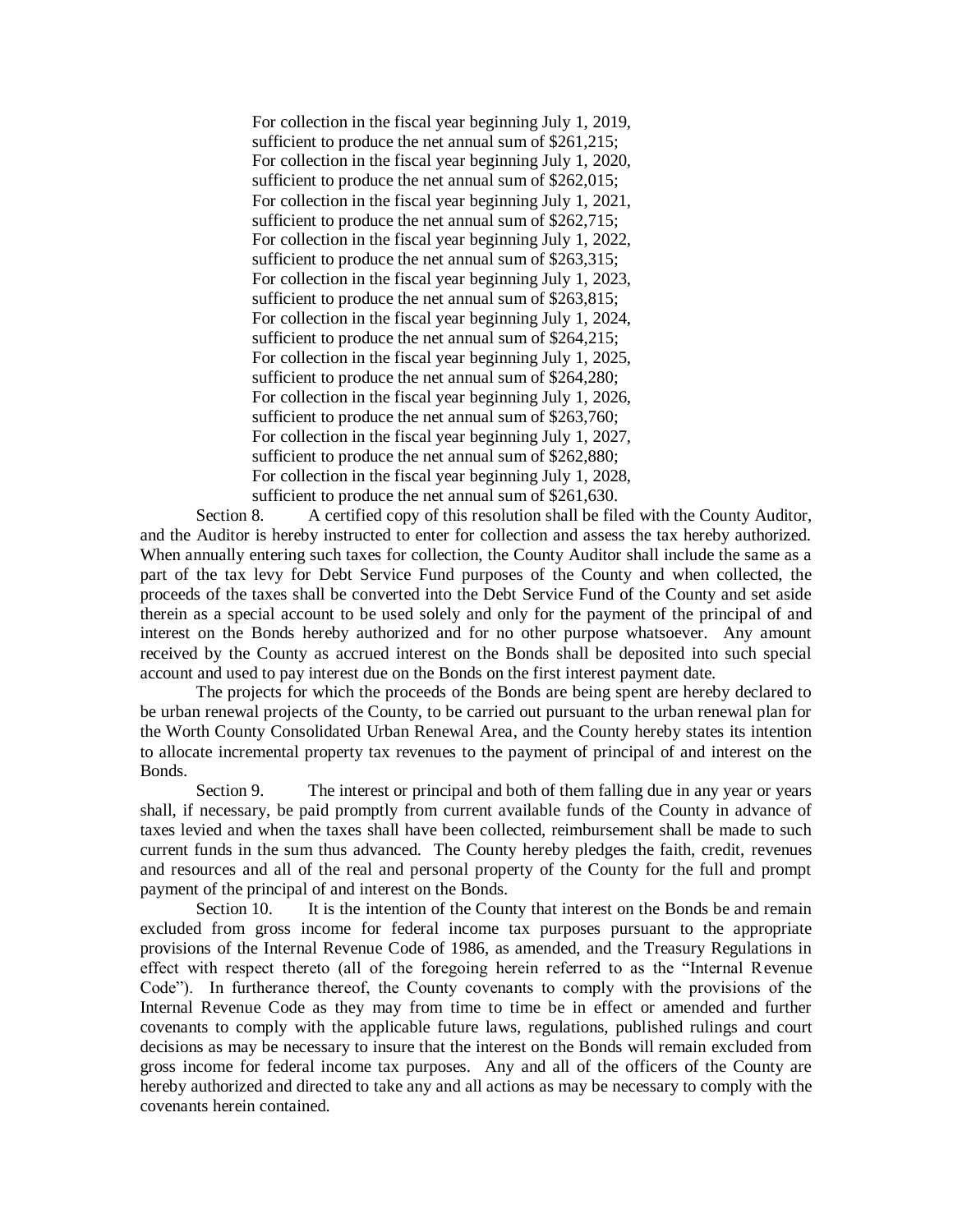For collection in the fiscal year beginning July 1, 2019, sufficient to produce the net annual sum of \$261,215; For collection in the fiscal year beginning July 1, 2020, sufficient to produce the net annual sum of \$262,015; For collection in the fiscal year beginning July 1, 2021, sufficient to produce the net annual sum of \$262,715; For collection in the fiscal year beginning July 1, 2022, sufficient to produce the net annual sum of \$263,315; For collection in the fiscal year beginning July 1, 2023, sufficient to produce the net annual sum of \$263,815; For collection in the fiscal year beginning July 1, 2024, sufficient to produce the net annual sum of \$264,215; For collection in the fiscal year beginning July 1, 2025, sufficient to produce the net annual sum of \$264,280; For collection in the fiscal year beginning July 1, 2026, sufficient to produce the net annual sum of \$263,760; For collection in the fiscal year beginning July 1, 2027, sufficient to produce the net annual sum of \$262,880; For collection in the fiscal year beginning July 1, 2028, sufficient to produce the net annual sum of \$261,630.

Section 8. A certified copy of this resolution shall be filed with the County Auditor, and the Auditor is hereby instructed to enter for collection and assess the tax hereby authorized. When annually entering such taxes for collection, the County Auditor shall include the same as a part of the tax levy for Debt Service Fund purposes of the County and when collected, the proceeds of the taxes shall be converted into the Debt Service Fund of the County and set aside therein as a special account to be used solely and only for the payment of the principal of and interest on the Bonds hereby authorized and for no other purpose whatsoever. Any amount received by the County as accrued interest on the Bonds shall be deposited into such special account and used to pay interest due on the Bonds on the first interest payment date.

The projects for which the proceeds of the Bonds are being spent are hereby declared to be urban renewal projects of the County, to be carried out pursuant to the urban renewal plan for the Worth County Consolidated Urban Renewal Area, and the County hereby states its intention to allocate incremental property tax revenues to the payment of principal of and interest on the Bonds.

Section 9. The interest or principal and both of them falling due in any year or years shall, if necessary, be paid promptly from current available funds of the County in advance of taxes levied and when the taxes shall have been collected, reimbursement shall be made to such current funds in the sum thus advanced. The County hereby pledges the faith, credit, revenues and resources and all of the real and personal property of the County for the full and prompt payment of the principal of and interest on the Bonds.

Section 10. It is the intention of the County that interest on the Bonds be and remain excluded from gross income for federal income tax purposes pursuant to the appropriate provisions of the Internal Revenue Code of 1986, as amended, and the Treasury Regulations in effect with respect thereto (all of the foregoing herein referred to as the "Internal Revenue Code"). In furtherance thereof, the County covenants to comply with the provisions of the Internal Revenue Code as they may from time to time be in effect or amended and further covenants to comply with the applicable future laws, regulations, published rulings and court decisions as may be necessary to insure that the interest on the Bonds will remain excluded from gross income for federal income tax purposes. Any and all of the officers of the County are hereby authorized and directed to take any and all actions as may be necessary to comply with the covenants herein contained.